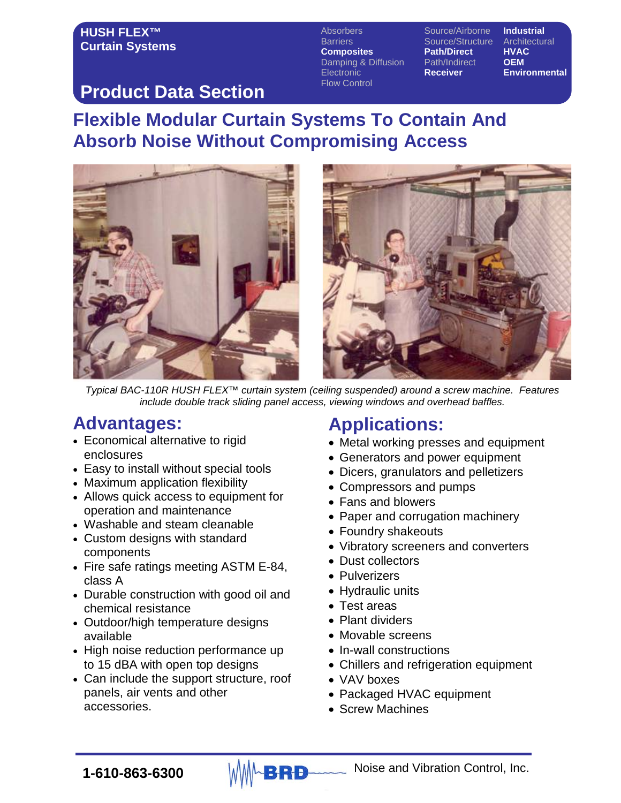Barriers **Source/Structure Architectural**<br> **Composites** Path/Direct HVAC **Composites Path/Direct HVAC**<br>Damping & Diffusion Path/Indirect **OEM** Damping & Diffusion Path/Indire<br>Electronic **Receiver** Electronic **Receiver Environmental** Flow Control

Absorbers Source/Airborne **Industrial**

### **Product Data Section**

# **Flexible Modular Curtain Systems To Contain And Absorb Noise Without Compromising Access**



*Typical BAC-110R HUSH FLEX™ curtain system (ceiling suspended) around a screw machine. Features include double track sliding panel access, viewing windows and overhead baffles.*

# **Advantages:**

- Economical alternative to rigid enclosures
- Easy to install without special tools
- Maximum application flexibility
- Allows quick access to equipment for operation and maintenance
- Washable and steam cleanable
- Custom designs with standard components
- Fire safe ratings meeting ASTM E-84, class A
- Durable construction with good oil and chemical resistance
- Outdoor/high temperature designs available
- High noise reduction performance up to 15 dBA with open top designs
- Can include the support structure, roof panels, air vents and other accessories.

# **Applications:**

- Metal working presses and equipment
- Generators and power equipment
- Dicers, granulators and pelletizers
- Compressors and pumps
- Fans and blowers
- Paper and corrugation machinery
- Foundry shakeouts
- Vibratory screeners and converters
- Dust collectors
- Pulverizers
- Hydraulic units
- Test areas
- Plant dividers
- Movable screens
- In-wall constructions
- Chillers and refrigeration equipment
- VAV boxes
- Packaged HVAC equipment
- Screw Machines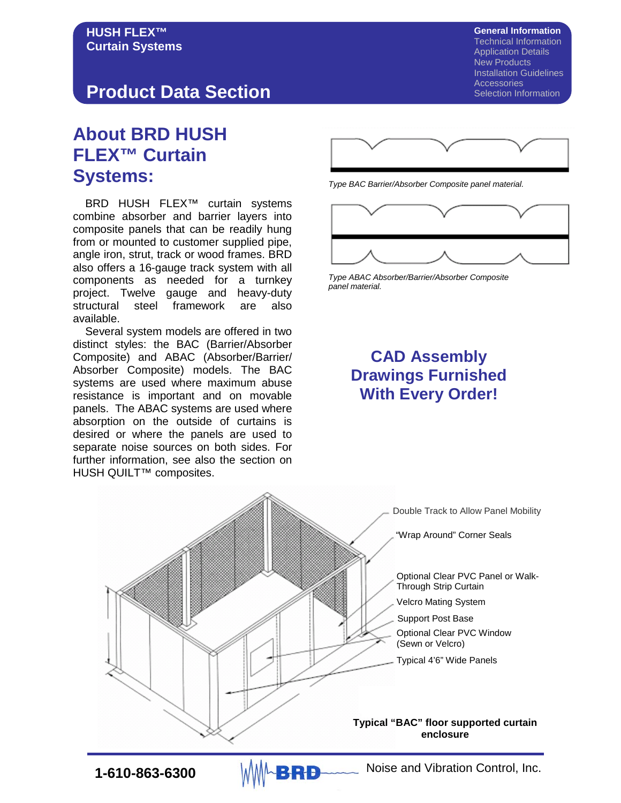#### **Product Data Section**

# **About BRD HUSH FLEX™ Curtain Systems:**

 BRD HUSH FLEX™ curtain systems combine absorber and barrier layers into composite panels that can be readily hung from or mounted to customer supplied pipe, angle iron, strut, track or wood frames. BRD also offers a 16-gauge track system with all components as needed for a turnkey project. Twelve gauge and heavy-duty structural steel framework are also available.

 Several system models are offered in two distinct styles: the BAC (Barrier/Absorber Composite) and ABAC (Absorber/Barrier/ Absorber Composite) models. The BAC systems are used where maximum abuse resistance is important and on movable panels. The ABAC systems are used where absorption on the outside of curtains is desired or where the panels are used to separate noise sources on both sides. For further information, see also the section on HUSH QUILT<sup>™</sup> composites.

**General Information** Technical Information Application Details New Products Installation Guidelines **Accessories** Selection Information



*Type BAC Barrier/Absorber Composite panel material.*



*Type ABAC Absorber/Barrier/Absorber Composite panel material.*

#### **CAD Assembly Drawings Furnished With Every Order!**



**1-610-863-6300** MMABRD Noise and Vibration Control, Inc.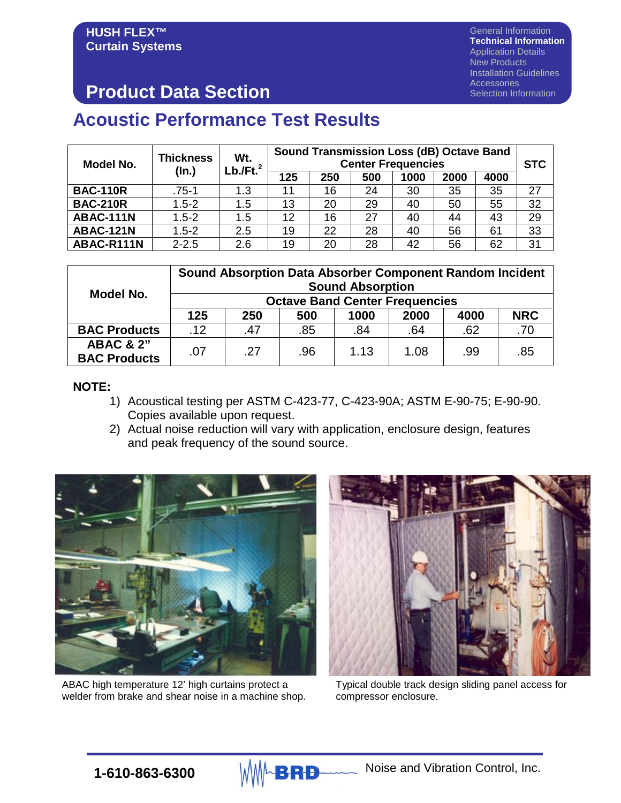General Information **Technical Information** Application Details New Products Installation Guidelines **Accessories** Selection Information

# **Product Data Section**

#### **Acoustic Performance Test Results**

| Model No.        | <b>Thickness</b><br>(ln.) | Wt.<br>$Lb$ ./Ft. $^2$ | <b>Sound Transmission Loss (dB) Octave Band</b><br><b>Center Frequencies</b> |     |     |      |      |      | <b>STC</b> |
|------------------|---------------------------|------------------------|------------------------------------------------------------------------------|-----|-----|------|------|------|------------|
|                  |                           |                        | 125                                                                          | 250 | 500 | 1000 | 2000 | 4000 |            |
| <b>BAC-110R</b>  | $.75 - 1$                 | 1.3                    | 11                                                                           | 16  | 24  | 30   | 35   | 35   | 27         |
| <b>BAC-210R</b>  | $1.5 - 2$                 | 1.5                    | 13                                                                           | 20  | 29  | 40   | 50   | 55   | 32         |
| ABAC-111N        | $1.5 - 2$                 | 1.5                    | 12                                                                           | 16  | 27  | 40   | 44   | 43   | 29         |
| <b>ABAC-121N</b> | $1.5 - 2$                 | 2.5                    | 19                                                                           | 22  | 28  | 40   | 56   | 61   | 33         |
| ABAC-R111N       | $2 - 2.5$                 | 2.6                    | 19                                                                           | 20  | 28  | 42   | 56   | 62   | 31         |

|                                             | <b>Sound Absorption Data Absorber Component Random Incident</b><br><b>Sound Absorption</b><br><b>Octave Band Center Frequencies</b> |     |     |      |      |      |            |  |  |  |
|---------------------------------------------|-------------------------------------------------------------------------------------------------------------------------------------|-----|-----|------|------|------|------------|--|--|--|
| Model No.                                   |                                                                                                                                     |     |     |      |      |      |            |  |  |  |
|                                             | 125                                                                                                                                 | 250 | 500 | 1000 | 2000 | 4000 | <b>NRC</b> |  |  |  |
| <b>BAC Products</b>                         | .12                                                                                                                                 | .47 | .85 | .84  | .64  | .62  | .70        |  |  |  |
| <b>ABAC &amp; 2"</b><br><b>BAC Products</b> | .07                                                                                                                                 | .27 | .96 | 1.13 | 1.08 | .99  | .85        |  |  |  |

#### **NOTE:**

- 1) Acoustical testing per ASTM C-423-77, C-423-90A; ASTM E-90-75; E-90-90. Copies available upon request.
- 2) Actual noise reduction will vary with application, enclosure design, features and peak frequency of the sound source.



ABAC high temperature 12' high curtains protect a welder from brake and shear noise in a machine shop.



Typical double track design sliding panel access for compressor enclosure.

**1-610-863-6300** MMABRD Noise and Vibration Control, Inc.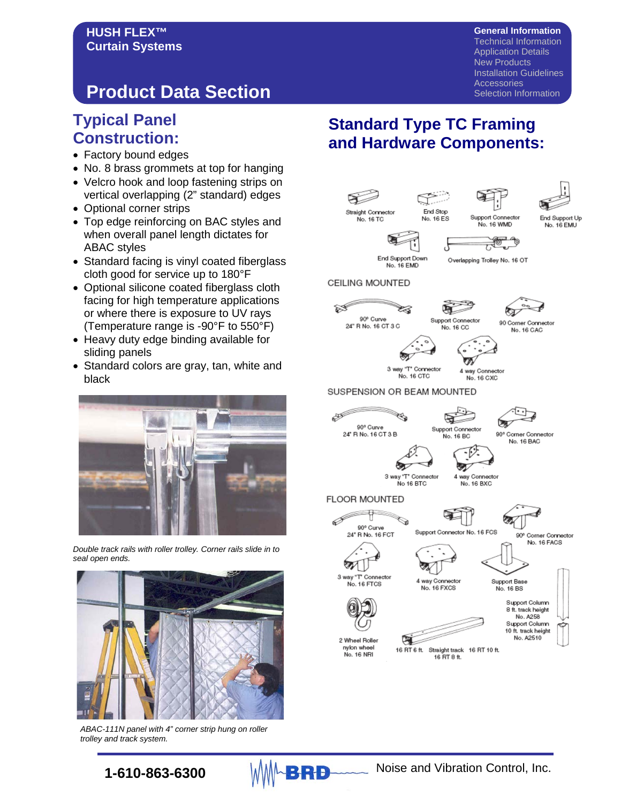#### **General Information**

Technical Information Application Details New Products Installation Guidelines **Accessories** Selection Information

# **Product Data Section**

#### **Typical Panel Construction:**

- Factory bound edges
- No. 8 brass grommets at top for hanging
- Velcro hook and loop fastening strips on vertical overlapping (2" standard) edges
- Optional corner strips
- Top edge reinforcing on BAC styles and when overall panel length dictates for ABAC styles
- Standard facing is vinyl coated fiberglass cloth good for service up to 180°F
- Optional silicone coated fiberglass cloth facing for high temperature applications or where there is exposure to UV rays (Temperature range is -90°F to 550°F)
- Heavy duty edge binding available for sliding panels
- Standard colors are gray, tan, white and black



*Double track rails with roller trolley. Corner rails slide in to seal open ends.*



*ABAC-111N panel with 4" corner strip hung on roller trolley and track system.*

#### **Standard Type TC Framing and Hardware Components:**

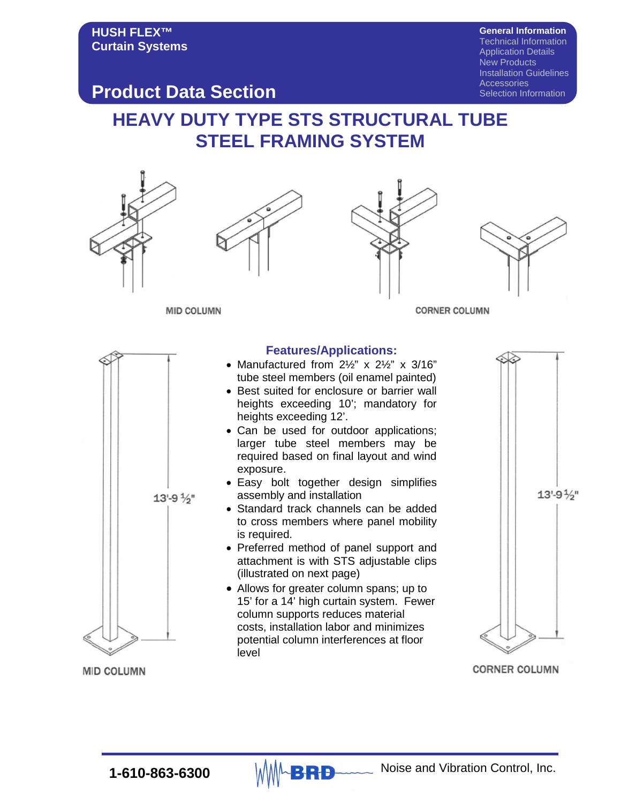**General Information** Technical Information Application Details New Products Installation Guidelines **Accessories** 

Selection Information

#### **Product Data Section**

# **HEAVY DUTY TYPE STS STRUCTURAL TUBE STEEL FRAMING SYSTEM**



**CORNER COLUMN** 

**MID COLUMN**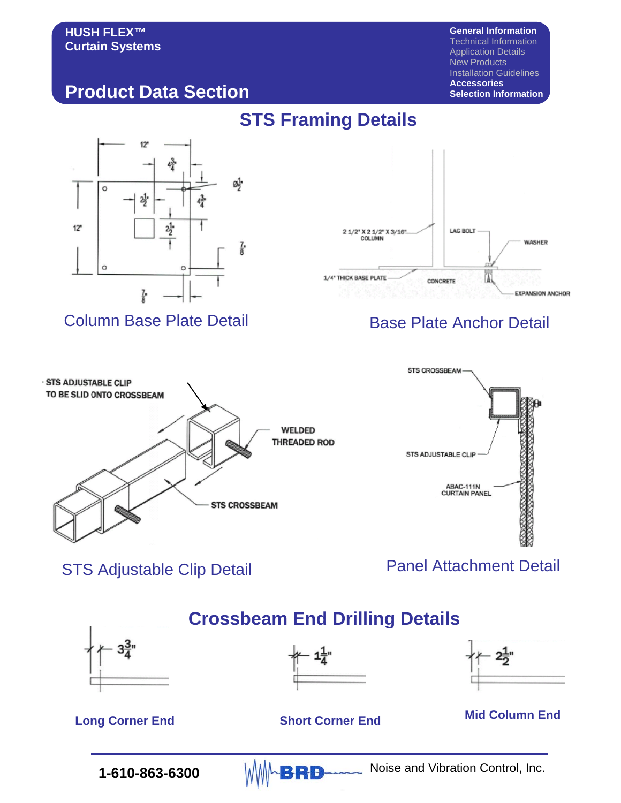**General Information** Technical Information Application Details New Products Installation Guidelines **Accessories Selection Information**

#### **Product Data Section**



#### Column Base Plate Detail Base Plate Anchor Detail

# **STS Framing Details**







STS Adjustable Clip Detail **Panel Attachment Detail** 

# **1-610-863-6300** MMABRD Noise and Vibration Control, Inc. **Crossbeam End Drilling Details Long Corner End Short Corner End Mid Column End**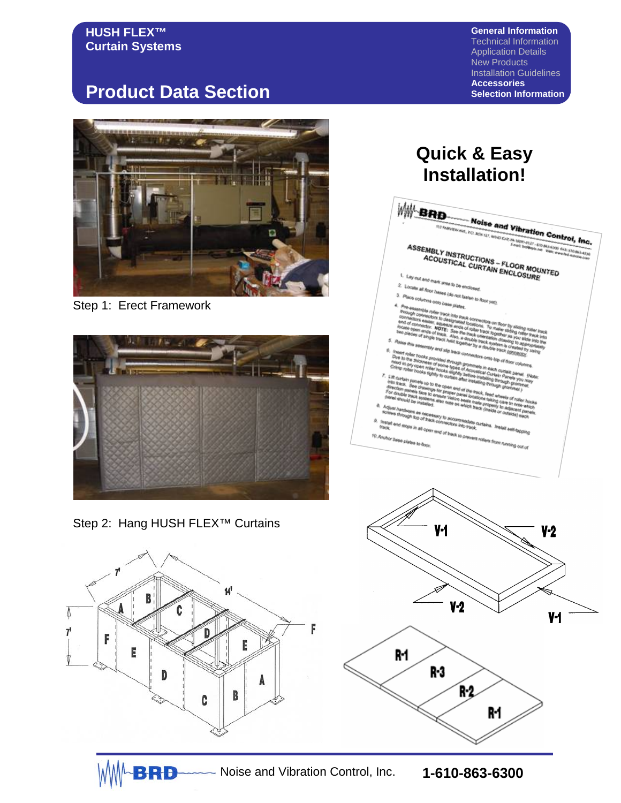**General Information** Technical Information Application Details New Products Installation Guidelines **Accessories Selection Information**

# **Product Data Section**



Step 1: Erect Framework



Step 2: Hang HUSH FLEX™ Curtains



BRB

# **Quick & Easy Installation!WW-BRD Noise and Vibration Control, Inc.**<br>All *ROX 127, WIND CAP, PA WORKLEY* (PORT) (PORT)<br>*League (PORT)* (PORT) (PORT) (PORT)  $W_{n}$ <sub>Po</sub>  $\begin{array}{c} \textbf{ASSEMBLY INSTRUCTIONS} \begin{subarray}{l} \textbf{0.047} \\ \textbf{0.063} \\ \textbf{0.07} \\ \textbf{0.07} \\ \textbf{0.087} \\ \textbf{0.088} \\ \textbf{0.089} \\ \textbf{0.080} \\ \textbf{0.080} \\ \textbf{0.081} \\ \textbf{0.081} \\ \textbf{0.081} \\ \textbf{0.081} \\ \textbf{0.081} \\ \textbf{0.082} \\ \textbf{0.083} \\ \textbf{0.083} \\ \textbf{0.08$ **M3-6300 FAX: 610-863-4230** .<br>Locate at finant area to be encl.<br>Locate at finance ate all floor bases (do hot fast)<br>the all floor bases (do hot fast)

- 
- 
- ope in all open end of track to p

te ex **Matorial** 





Noise and Vibration Control, Inc. **1-610-863-6300**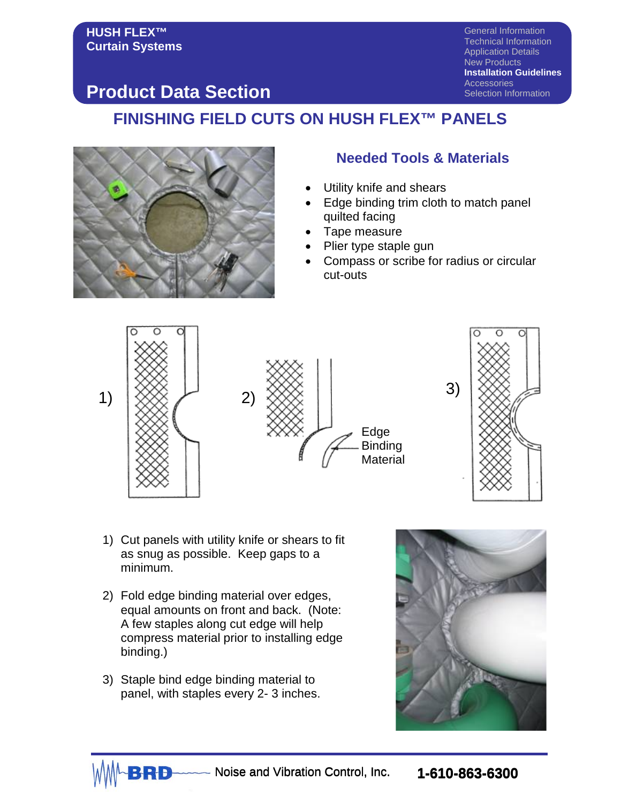General Information Technical Information Application Details New Products **Installation Guidelines Accessories** Selection Information

#### **Product Data Section**

#### **FINISHING FIELD CUTS ON HUSH FLEX™ PANELS**



#### **Needed Tools & Materials**

- Utility knife and shears
- Edge binding trim cloth to match panel quilted facing
- Tape measure
- Plier type staple gun
- Compass or scribe for radius or circular cut-outs





- 1) Cut panels with utility knife or shears to fit as snug as possible. Keep gaps to a minimum.
- 2) Fold edge binding material over edges, equal amounts on front and back. (Note: A few staples along cut edge will help compress material prior to installing edge binding.)
- 3) Staple bind edge binding material to panel, with staples every 2- 3 inches.



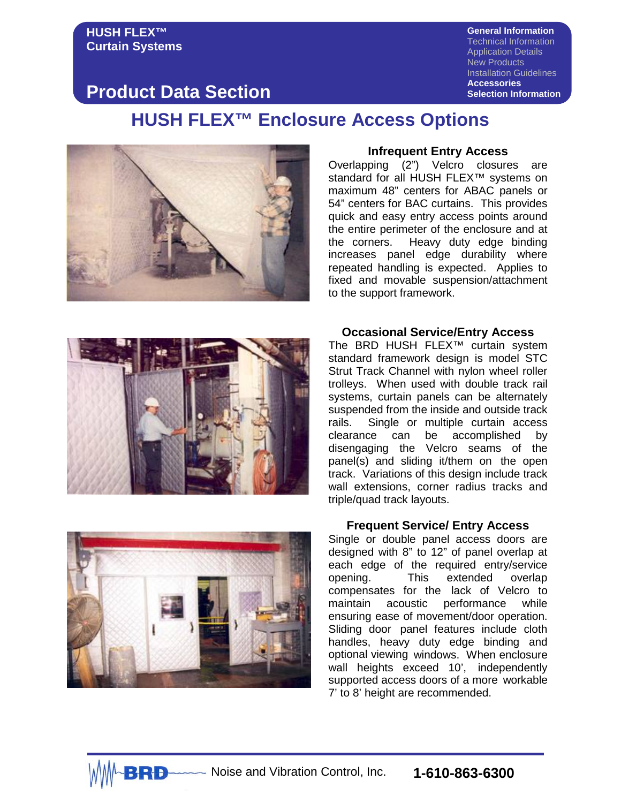**General Information** Technical Information Application Details New Products Installation Guidelines **Accessories Selection Information**

#### **Product Data Section**

#### **HUSH FLEX™ Enclosure Access Options**



#### **Infrequent Entry Access**

Overlapping (2") Velcro closures are standard for all HUSH FLEX<sup>™</sup> systems on maximum 48" centers for ABAC panels or 54" centers for BAC curtains. This provides quick and easy entry access points around the entire perimeter of the enclosure and at the corners. Heavy duty edge binding increases panel edge durability where repeated handling is expected. Applies to fixed and movable suspension/attachment to the support framework.



#### **Occasional Service/Entry Access**

The BRD HUSH FLEX™ curtain system standard framework design is model STC Strut Track Channel with nylon wheel roller trolleys. When used with double track rail systems, curtain panels can be alternately suspended from the inside and outside track rails. Single or multiple curtain access clearance can be accomplished by disengaging the Velcro seams of the panel(s) and sliding it/them on the open track. Variations of this design include track wall extensions, corner radius tracks and triple/quad track layouts.



#### **Frequent Service/ Entry Access**

Single or double panel access doors are designed with 8" to 12" of panel overlap at each edge of the required entry/service opening. This extended overlap compensates for the lack of Velcro to<br>maintain acoustic performance while maintain acoustic performance ensuring ease of movement/door operation. Sliding door panel features include cloth handles, heavy duty edge binding and optional viewing windows. When enclosure wall heights exceed 10', independently supported access doors of a more workable 7' to 8' height are recommended.

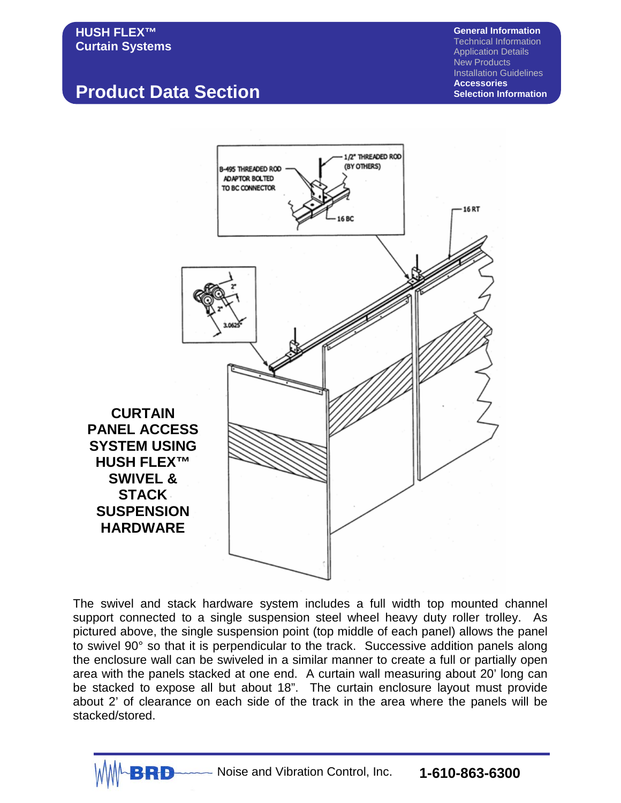# **Product Data Section**

**General Information** Technical Information Application Details New Products Installation Guidelines **Accessories Selection Information**



The swivel and stack hardware system includes a full width top mounted channel support connected to a single suspension steel wheel heavy duty roller trolley. As pictured above, the single suspension point (top middle of each panel) allows the panel to swivel 90° so that it is perpendicular to the track. Successive addition panels along the enclosure wall can be swiveled in a similar manner to create a full or partially open area with the panels stacked at one end. A curtain wall measuring about 20' long can be stacked to expose all but about 18". The curtain enclosure layout must provide about 2' of clearance on each side of the track in the area where the panels will be stacked/stored.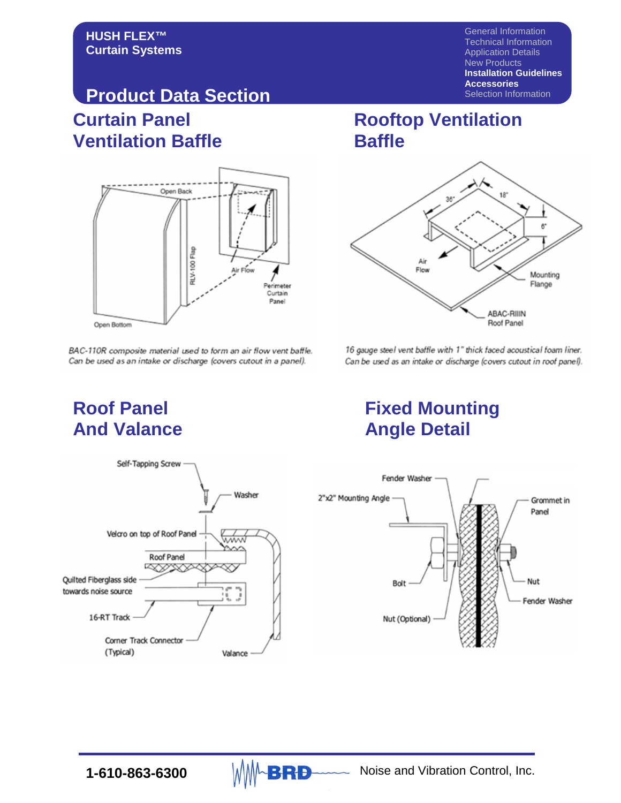General Information Technical Information Application Details New Products **Installation Guidelines Accessories** Selection Information

#### **Curtain Panel Ventilation Baffle Product Data Section**



BAC-110R composite material used to form an air flow vent baffle. Can be used as an intake or discharge (covers cutout in a panel).

#### **Rooftop Ventilation Baffle**



16 gauge steel vent baffle with 1" thick faced acoustical foam liner. Can be used as an intake or discharge (covers cutout in roof panel).

# **And Valance Angle Detail**

# **Roof Panel Fixed Mounting**



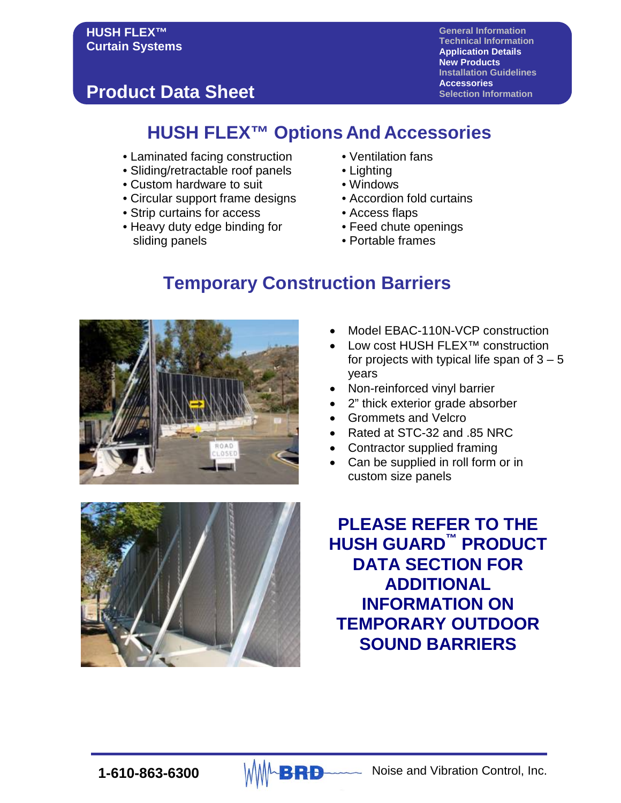**General Information Technical Information Application Details New Products Installation Guidelines Accessories Selection Information**

# **Product Data Sheet**

## **HUSH FLEX™ Options And Accessories**

- Laminated facing construction Ventilation fans
- Sliding/retractable roof panels Lighting<br>• Custom hardware to suit Windows
- Custom hardware to suit
- Circular support frame designs Accordion fold curtains
- Strip curtains for access Access flaps
- Heavy duty edge binding for • Feed chute openings sliding panels **•** Portable frames
- 
- 
- 
- 
- -
	-

## **Temporary Construction Barriers**



- Model EBAC-110N-VCP construction
- Low cost HUSH FLEX<sup>™</sup> construction for projects with typical life span of  $3 - 5$ years
- Non-reinforced vinyl barrier
- 2" thick exterior grade absorber
- Grommets and Velcro
- Rated at STC-32 and .85 NRC
- Contractor supplied framing
- Can be supplied in roll form or in custom size panels



**PLEASE REFER TO THE HUSH GUARD™ PRODUCT DATA SECTION FOR ADDITIONAL INFORMATION ON TEMPORARY OUTDOOR SOUND BARRIERS**

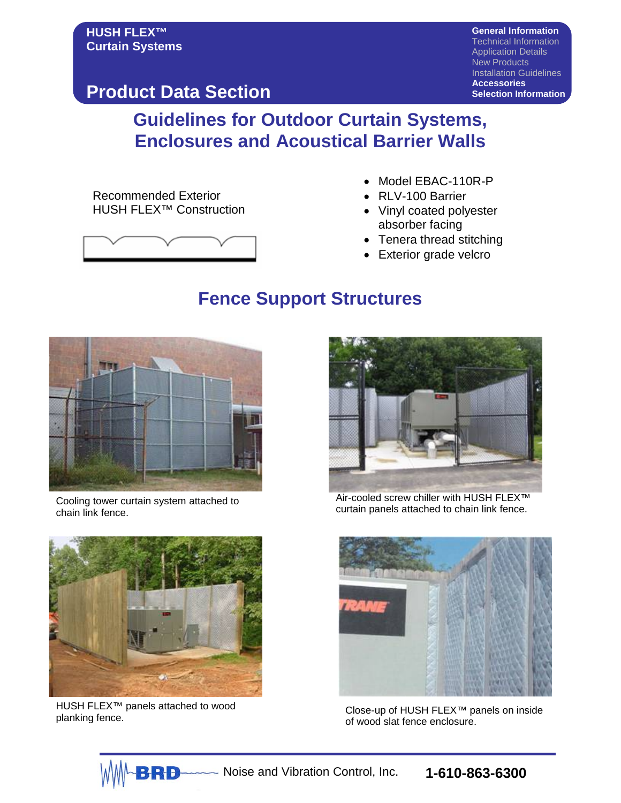**Product Data Section**

**General Information** Technical Information Application Details New Products Installation Guidelines **Accessories Selection Information**

## **Guidelines for Outdoor Curtain Systems, Enclosures and Acoustical Barrier Walls**

Recommended Exterior HUSH FLEX™ Construction



- Model EBAC-110R-P
- RLV-100 Barrier
- Vinyl coated polyester absorber facing
- Tenera thread stitching
- Exterior grade velcro

## **Fence Support Structures**



Cooling tower curtain system attached to chain link fence.



HUSH FLEX™ panels attached to wood



Air-cooled screw chiller with HUSH FLEX™ curtain panels attached to chain link fence.



HUSH FLEX™ panels attached to wood<br>planking fence. Close-up of HUSH FLEX™ panels on inside<br>of wood slat fence enclosure of wood slat fence enclosure.